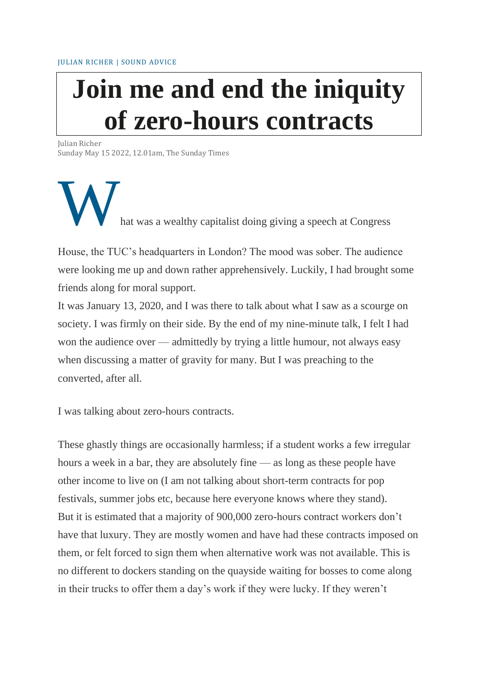# **Join me and end the iniquity of zero-hours contracts**

Julian Richer Sunday May 15 2022, 12.01am, The Sunday Times

hat was a wealthy capitalist doing giving a speech at Congress

House, the TUC's headquarters in London? The mood was sober. The audience were looking me up and down rather apprehensively. Luckily, I had brought some friends along for moral support.

It was January 13, 2020, and I was there to talk about what I saw as a scourge on society. I was firmly on their side. By the end of my nine-minute talk, I felt I had won the audience over — admittedly by trying a little humour, not always easy when discussing a matter of gravity for many. But I was preaching to the converted, after all.

I was talking about zero-hours contracts.

These ghastly things are occasionally harmless; if a student works a few irregular hours a week in a bar, they are absolutely fine — as long as these people have other income to live on (I am not talking about short-term contracts for pop festivals, summer jobs etc, because here everyone knows where they stand). But it is estimated that a majority of 900,000 zero-hours contract workers don't have that luxury. They are mostly women and have had these contracts imposed on them, or felt forced to sign them when alternative work was not available. This is no different to dockers standing on the quayside waiting for bosses to come along in their trucks to offer them a day's work if they were lucky. If they weren't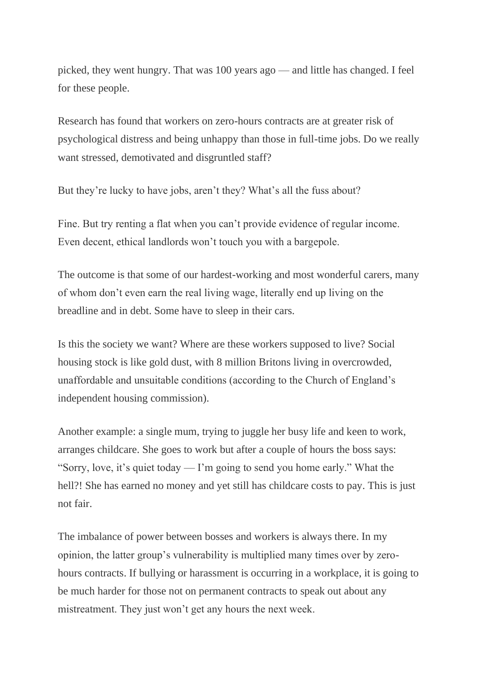picked, they went hungry. That was 100 years ago — and little has changed. I feel for these people.

Research has found that workers on zero-hours contracts are at greater risk of psychological distress and being unhappy than those in full-time jobs. Do we really want stressed, demotivated and disgruntled staff?

But they're lucky to have jobs, aren't they? What's all the fuss about?

Fine. But try renting a flat when you can't provide evidence of regular income. Even decent, ethical landlords won't touch you with a bargepole.

The outcome is that some of our hardest-working and most wonderful carers, many of whom don't even earn the real living wage, literally end up living on the breadline and in debt. Some have to sleep in their cars.

Is this the society we want? Where are these workers supposed to live? Social housing stock is like gold dust, with 8 million Britons living in overcrowded, unaffordable and unsuitable conditions (according to the Church of England's independent housing commission).

Another example: a single mum, trying to juggle her busy life and keen to work, arranges childcare. She goes to work but after a couple of hours the boss says: "Sorry, love, it's quiet today — I'm going to send you home early." What the hell?! She has earned no money and yet still has childcare costs to pay. This is just not fair.

The imbalance of power between bosses and workers is always there. In my opinion, the latter group's vulnerability is multiplied many times over by zerohours contracts. If bullying or harassment is occurring in a workplace, it is going to be much harder for those not on permanent contracts to speak out about any mistreatment. They just won't get any hours the next week.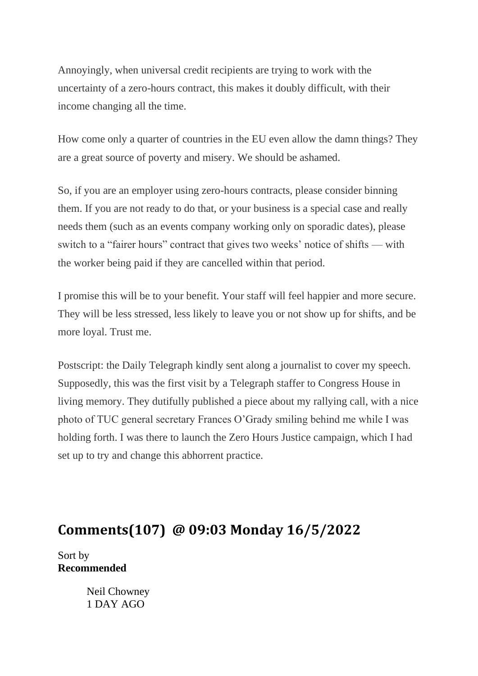Annoyingly, when universal credit recipients are trying to work with the uncertainty of a zero-hours contract, this makes it doubly difficult, with their income changing all the time.

How come only a quarter of countries in the EU even allow the damn things? They are a great source of poverty and misery. We should be ashamed.

So, if you are an employer using zero-hours contracts, please consider binning them. If you are not ready to do that, or your business is a special case and really needs them (such as an events company working only on sporadic dates), please switch to a "fairer hours" contract that gives two weeks' notice of shifts — with the worker being paid if they are cancelled within that period.

I promise this will be to your benefit. Your staff will feel happier and more secure. They will be less stressed, less likely to leave you or not show up for shifts, and be more loyal. Trust me.

Postscript: the Daily Telegraph kindly sent along a journalist to cover my speech. Supposedly, this was the first visit by a Telegraph staffer to Congress House in living memory. They dutifully published a piece about my rallying call, with a nice photo of TUC general secretary Frances O'Grady smiling behind me while I was holding forth. I was there to launch the Zero Hours Justice campaign, which I had set up to try and change this abhorrent practice.

# **Comments(107) @ 09:03 Monday 16/5/2022**

Sort by **Recommended**

> Neil Chowney 1 DAY AGO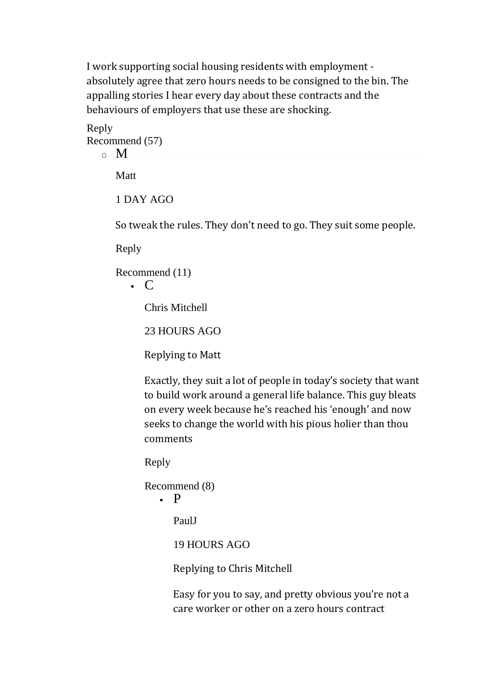I work supporting social housing residents with employment absolutely agree that zero hours needs to be consigned to the bin. The appalling stories I hear every day about these contracts and the behaviours of employers that use these are shocking.

Reply Recommend (57)  $\circ$  M

**Matt** 

1 DAY AGO

So tweak the rules. They don't need to go. They suit some people.

Reply

Recommend (11)

 $\cdot$  C

Chris Mitchell

23 HOURS AGO

Replying to Matt

Exactly, they suit a lot of people in today's society that want to build work around a general life balance. This guy bleats on every week because he's reached his 'enough' and now seeks to change the world with his pious holier than thou comments

Reply

```
Recommend (8)
   \blacksquare P
      PaulJ
       19 HOURS AGO
```
Replying to Chris Mitchell

Easy for you to say, and pretty obvious you're not a care worker or other on a zero hours contract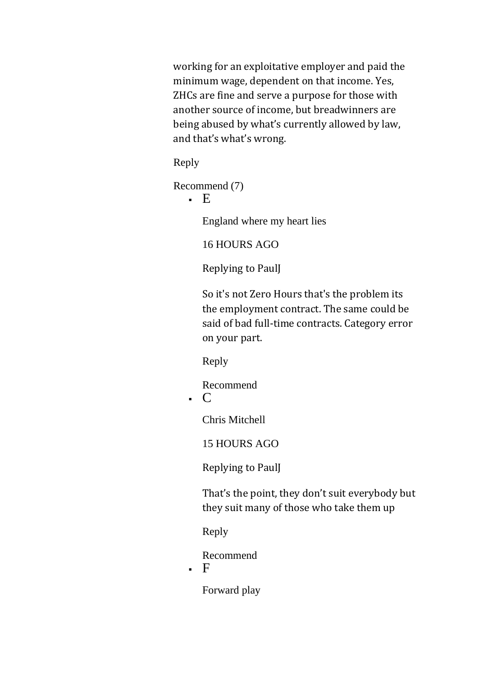working for an exploitative employer and paid the minimum wage, dependent on that income. Yes, ZHCs are fine and serve a purpose for those with another source of income, but breadwinners are being abused by what's currently allowed by law, and that's what's wrong.

Reply

Recommend (7)

▪ E

England where my heart lies

16 HOURS AGO

Replying to PaulJ

So it's not Zero Hours that's the problem its the employment contract. The same could be said of bad full-time contracts. Category error on your part.

Reply

Recommend  $\cdot$  C

Chris Mitchell

15 HOURS AGO

Replying to PaulJ

That's the point, they don't suit everybody but they suit many of those who take them up

Reply

Recommend

 $\blacksquare$ 

Forward play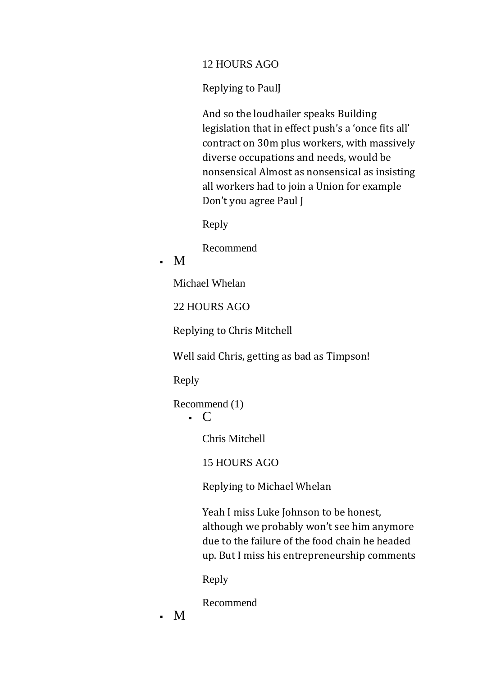#### 12 HOURS AGO

Replying to PaulJ

And so the loudhailer speaks Building legislation that in effect push's a 'once fits all' contract on 30m plus workers, with massively diverse occupations and needs, would be nonsensical Almost as nonsensical as insisting all workers had to join a Union for example Don't you agree Paul J

Reply

Recommend

# $\blacksquare$

Michael Whelan

22 HOURS AGO

Replying to Chris Mitchell

Well said Chris, getting as bad as Timpson!

Reply

Recommend (1)

 $\cdot$  C

Chris Mitchell

15 HOURS AGO

Replying to Michael Whelan

Yeah I miss Luke Johnson to be honest, although we probably won't see him anymore due to the failure of the food chain he headed up. But I miss his entrepreneurship comments

Reply

Recommend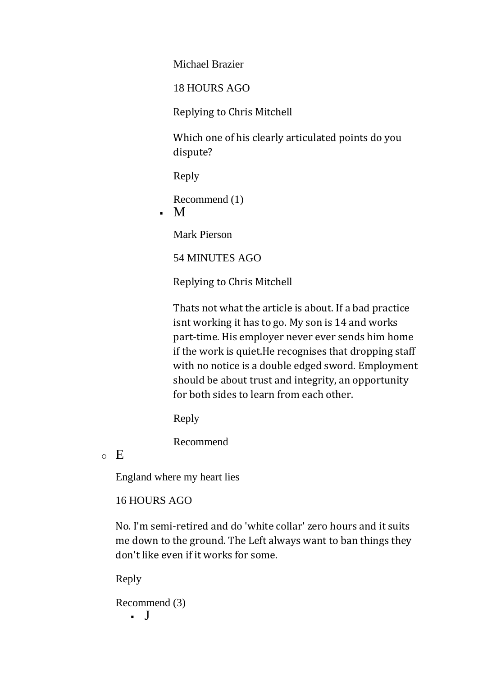Michael Brazier

18 HOURS AGO

Replying to Chris Mitchell

Which one of his clearly articulated points do you dispute?

Reply

Recommend (1)

 $\blacksquare$ 

Mark Pierson

54 MINUTES AGO

Replying to Chris Mitchell

Thats not what the article is about. If a bad practice isnt working it has to go. My son is 14 and works part-time. His employer never ever sends him home if the work is quiet.He recognises that dropping staff with no notice is a double edged sword. Employment should be about trust and integrity, an opportunity for both sides to learn from each other.

Reply

Recommend

 $\circ$  E

England where my heart lies

## 16 HOURS AGO

No. I'm semi-retired and do 'white collar' zero hours and it suits me down to the ground. The Left always want to ban things they don't like even if it works for some.

Reply

Recommend (3) ▪ J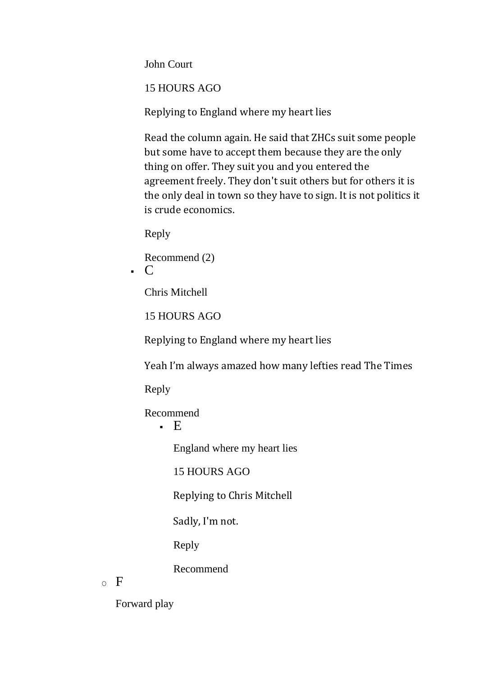John Court

15 HOURS AGO

Replying to England where my heart lies

Read the column again. He said that ZHCs suit some people but some have to accept them because they are the only thing on offer. They suit you and you entered the agreement freely. They don't suit others but for others it is the only deal in town so they have to sign. It is not politics it is crude economics.

Reply

Recommend (2)  $\cdot$  C

Chris Mitchell

15 HOURS AGO

Replying to England where my heart lies

Yeah I'm always amazed how many lefties read The Times

Reply

Recommend

 $\blacksquare$  E

England where my heart lies

15 HOURS AGO

Replying to Chris Mitchell

Sadly, I'm not.

Reply

Recommend

 $\circ$  F

Forward play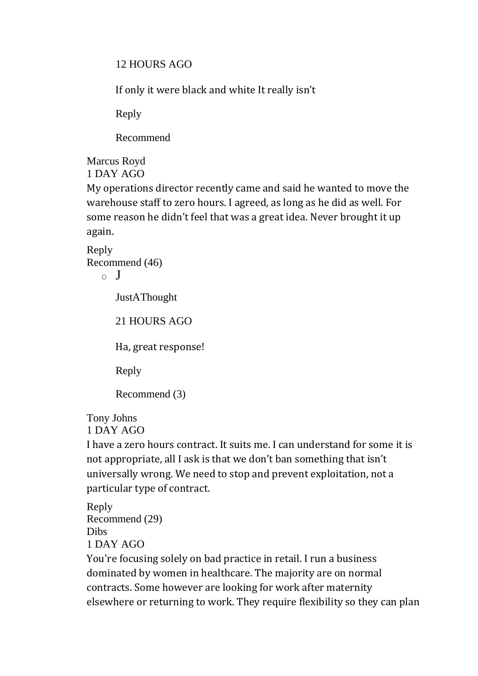12 HOURS AGO

If only it were black and white It really isn't

Reply

Recommend

Marcus Royd 1 DAY AGO

My operations director recently came and said he wanted to move the warehouse staff to zero hours. I agreed, as long as he did as well. For some reason he didn't feel that was a great idea. Never brought it up again.

Reply Recommend (46)

 $\circ$  J

JustAThought

21 HOURS AGO

Ha, great response!

Reply

Recommend (3)

Tony Johns

1 DAY AGO

I have a zero hours contract. It suits me. I can understand for some it is not appropriate, all I ask is that we don't ban something that isn't universally wrong. We need to stop and prevent exploitation, not a particular type of contract.

Reply Recommend (29) Dibs 1 DAY AGO

You're focusing solely on bad practice in retail. I run a business dominated by women in healthcare. The majority are on normal contracts. Some however are looking for work after maternity elsewhere or returning to work. They require flexibility so they can plan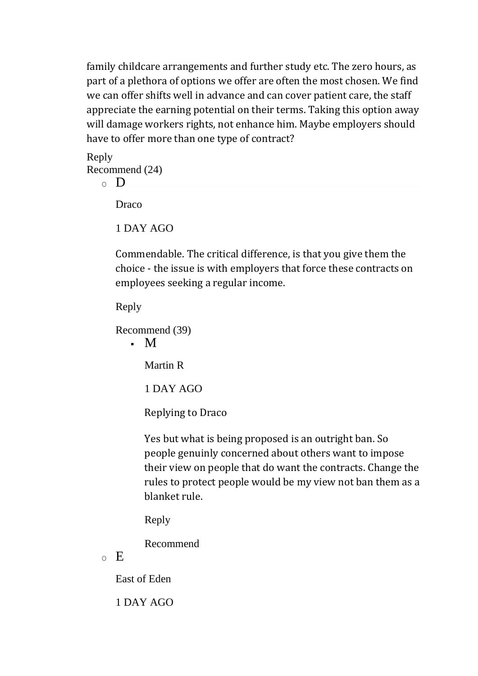family childcare arrangements and further study etc. The zero hours, as part of a plethora of options we offer are often the most chosen. We find we can offer shifts well in advance and can cover patient care, the staff appreciate the earning potential on their terms. Taking this option away will damage workers rights, not enhance him. Maybe employers should have to offer more than one type of contract?

Reply Recommend (24)

$$
\circ\quad D
$$

Draco

1 DAY AGO

Commendable. The critical difference, is that you give them the choice - the issue is with employers that force these contracts on employees seeking a regular income.

Reply

Recommend (39)  $\blacksquare$ 

Martin R

1 DAY AGO

Replying to Draco

Yes but what is being proposed is an outright ban. So people genuinly concerned about others want to impose their view on people that do want the contracts. Change the rules to protect people would be my view not ban them as a blanket rule.

Reply

Recommend

 $\circ$  E

East of Eden

1 DAY AGO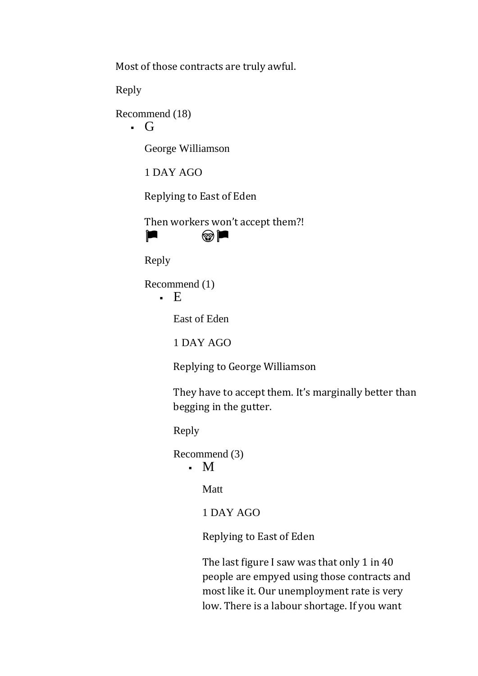Most of those contracts are truly awful.

Reply

Recommend (18)

▪ G

George Williamson

1 DAY AGO

Replying to East of Eden

Then workers won't accept them?!  $\blacksquare$ 



Reply

Recommend (1)

 $\blacksquare$ 

East of Eden

1 DAY AGO

Replying to George Williamson

They have to accept them. It's marginally better than begging in the gutter.

Reply

Recommend (3)

## $\blacksquare$

Matt

1 DAY AGO

Replying to East of Eden

The last figure I saw was that only 1 in 40 people are empyed using those contracts and most like it. Our unemployment rate is very low. There is a labour shortage. If you want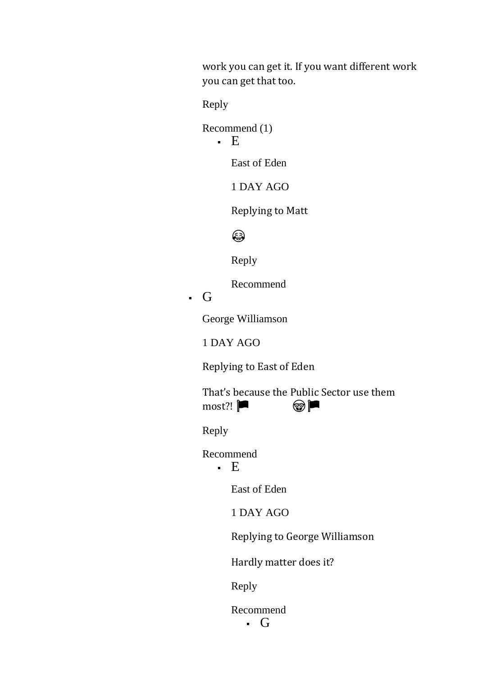work you can get it. If you want different work you can get that too.

Reply

Recommend (1)

 $\cdot$  E

East of Eden

1 DAY AGO

Replying to Matt

## ⊜

Reply

Recommend

# ▪ G

George Williamson

1 DAY AGO

Replying to East of Eden

That's because the Public Sector use them most?!

Reply

Recommend

 $E$ 

East of Eden

1 DAY AGO

Replying to George Williamson

Hardly matter does it?

Reply

Recommend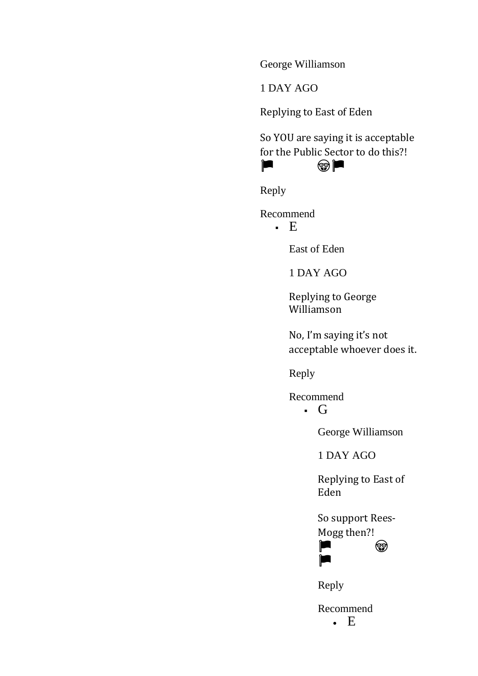George Williamson

1 DAY AGO

Replying to East of Eden

So YOU are saying it is acceptable for the Public Sector to do this?! 

Reply

Recommend

 $E$ 

East of Eden

1 DAY AGO

Replying to George Williamson

No, I'm saying it's not acceptable whoever does it.

Reply

Recommend

 $\cdot$  G

George Williamson

1 DAY AGO

Replying to East of Eden

So support Rees-Mogg then?!



Reply

**TELE** 

Recommend • E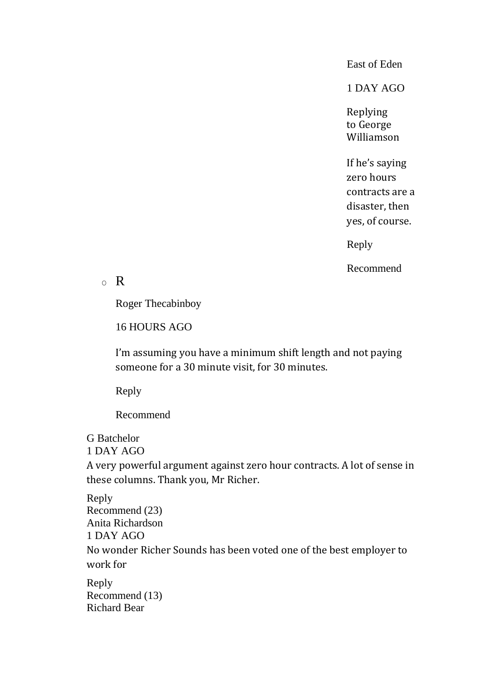East of Eden

1 DAY AGO

Replying to George Williamson

If he's saying zero hours contracts are a disaster, then yes, of course.

Reply

Recommend

#### $\circ$  R

Roger Thecabinboy

16 HOURS AGO

I'm assuming you have a minimum shift length and not paying someone for a 30 minute visit, for 30 minutes.

Reply

Recommend

# G Batchelor

1 DAY AGO

A very powerful argument against zero hour contracts. A lot of sense in these columns. Thank you, Mr Richer.

Reply Recommend (23) Anita Richardson 1 DAY AGO No wonder Richer Sounds has been voted one of the best employer to work for

Reply Recommend (13) Richard Bear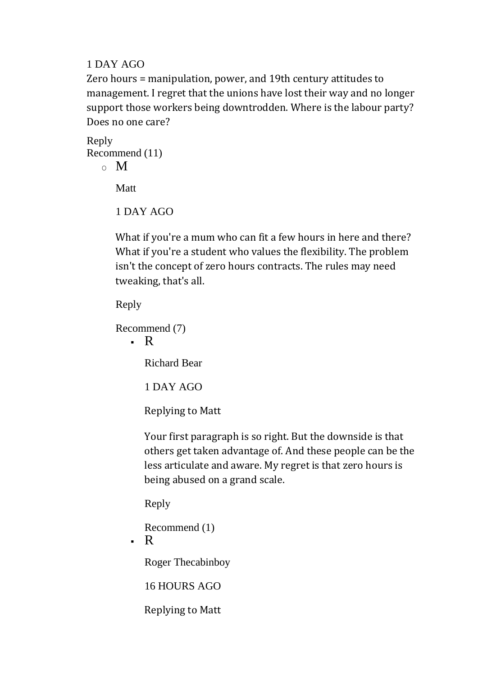#### 1 DAY AGO

Zero hours = manipulation, power, and 19th century attitudes to management. I regret that the unions have lost their way and no longer support those workers being downtrodden. Where is the labour party? Does no one care?

Reply Recommend (11)  $\sim M$ 

Matt

1 DAY AGO

What if you're a mum who can fit a few hours in here and there? What if you're a student who values the flexibility. The problem isn't the concept of zero hours contracts. The rules may need tweaking, that's all.

Reply

Recommend (7)

 $\cdot$  R

Richard Bear

1 DAY AGO

Replying to Matt

Your first paragraph is so right. But the downside is that others get taken advantage of. And these people can be the less articulate and aware. My regret is that zero hours is being abused on a grand scale.

Reply

Recommend (1)

 $\cdot$  R

Roger Thecabinboy

16 HOURS AGO

Replying to Matt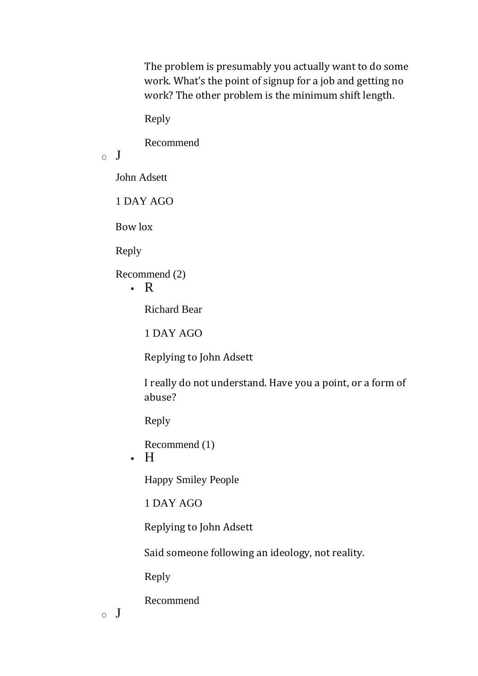The problem is presumably you actually want to do some work. What's the point of signup for a job and getting no work? The other problem is the minimum shift length.

Reply

Recommend

 $\circ$  J

John Adsett

1 DAY AGO

Bow lox

Reply

Recommend (2)

 $\cdot$  R

Richard Bear

1 DAY AGO

Replying to John Adsett

I really do not understand. Have you a point, or a form of abuse?

Reply

Recommend (1)

 $\blacksquare$ 

Happy Smiley People

1 DAY AGO

Replying to John Adsett

Said someone following an ideology, not reality.

Reply

Recommend

 $\circ$  J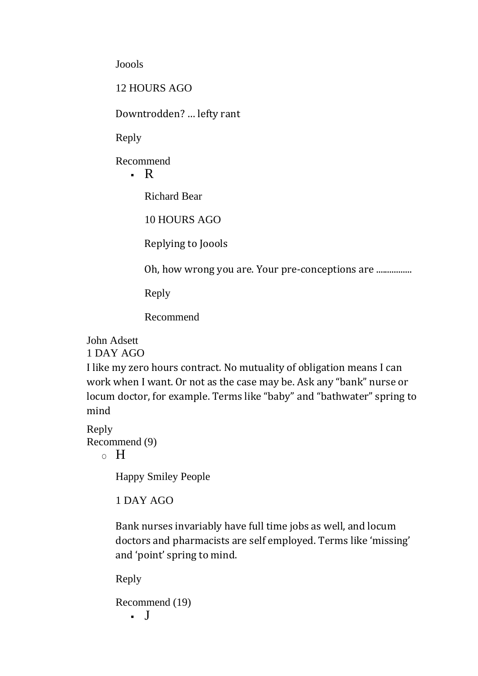Joools

12 HOURS AGO

Downtrodden? … lefty rant

Reply

Recommend

 $\cdot$  R

Richard Bear

10 HOURS AGO

Replying to Joools

Oh, how wrong you are. Your pre-conceptions are .................

Reply

Recommend

John Adsett

1 DAY AGO

I like my zero hours contract. No mutuality of obligation means I can work when I want. Or not as the case may be. Ask any "bank" nurse or locum doctor, for example. Terms like "baby" and "bathwater" spring to mind

Reply Recommend (9)

 $\circ$  H

Happy Smiley People

1 DAY AGO

Bank nurses invariably have full time jobs as well, and locum doctors and pharmacists are self employed. Terms like 'missing' and 'point' spring to mind.

Reply

Recommend (19) ▪ J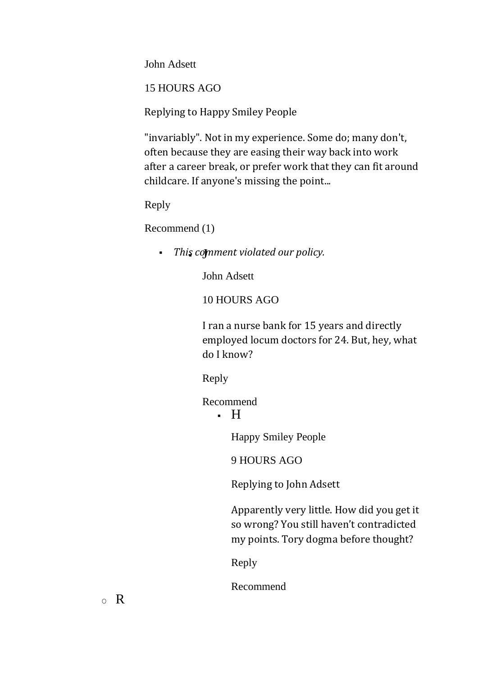John Adsett

15 HOURS AGO

Replying to Happy Smiley People

"invariably". Not in my experience. Some do; many don't, often because they are easing their way back into work after a career break, or prefer work that they can fit around childcare. If anyone's missing the point...

Reply

Recommend (1)

**• This comment violated our policy.** 

John Adsett

10 HOURS AGO

I ran a nurse bank for 15 years and directly employed locum doctors for 24. But, hey, what do I know?

Reply

Recommend

 $\blacksquare$ 

Happy Smiley People

9 HOURS AGO

Replying to John Adsett

Apparently very little. How did you get it so wrong? You still haven't contradicted my points. Tory dogma before thought?

Reply

Recommend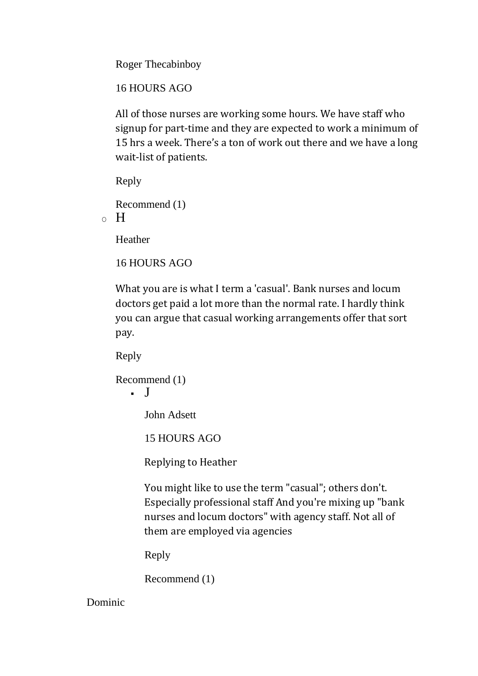Roger Thecabinboy

16 HOURS AGO

All of those nurses are working some hours. We have staff who signup for part-time and they are expected to work a minimum of 15 hrs a week. There's a ton of work out there and we have a long wait-list of patients.

Reply

```
Recommend (1)
\circ H
```
Heather

```
16 HOURS AGO
```
What you are is what I term a 'casual'. Bank nurses and locum doctors get paid a lot more than the normal rate. I hardly think you can argue that casual working arrangements offer that sort pay.

Reply

```
Recommend (1)
    \blacksquare
```
John Adsett

15 HOURS AGO

Replying to Heather

You might like to use the term "casual"; others don't. Especially professional staff And you're mixing up "bank nurses and locum doctors" with agency staff. Not all of them are employed via agencies

Reply

Recommend (1)

Dominic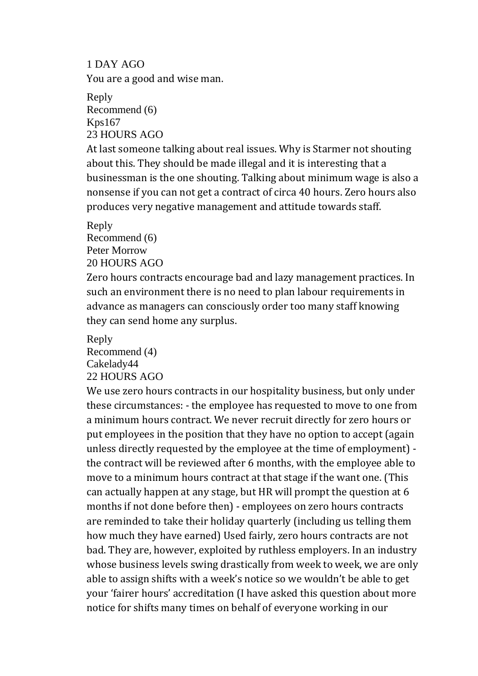1 DAY AGO You are a good and wise man. Reply

Recommend (6) Kps167 23 HOURS AGO

At last someone talking about real issues. Why is Starmer not shouting about this. They should be made illegal and it is interesting that a businessman is the one shouting. Talking about minimum wage is also a nonsense if you can not get a contract of circa 40 hours. Zero hours also produces very negative management and attitude towards staff.

Reply

Recommend (6) Peter Morrow

20 HOURS AGO

Zero hours contracts encourage bad and lazy management practices. In such an environment there is no need to plan labour requirements in advance as managers can consciously order too many staff knowing they can send home any surplus.

Reply

Recommend (4)

Cakelady44

22 HOURS AGO

We use zero hours contracts in our hospitality business, but only under these circumstances: - the employee has requested to move to one from a minimum hours contract. We never recruit directly for zero hours or put employees in the position that they have no option to accept (again unless directly requested by the employee at the time of employment) the contract will be reviewed after 6 months, with the employee able to move to a minimum hours contract at that stage if the want one. (This can actually happen at any stage, but HR will prompt the question at 6 months if not done before then) - employees on zero hours contracts are reminded to take their holiday quarterly (including us telling them how much they have earned) Used fairly, zero hours contracts are not bad. They are, however, exploited by ruthless employers. In an industry whose business levels swing drastically from week to week, we are only able to assign shifts with a week's notice so we wouldn't be able to get your 'fairer hours' accreditation (I have asked this question about more notice for shifts many times on behalf of everyone working in our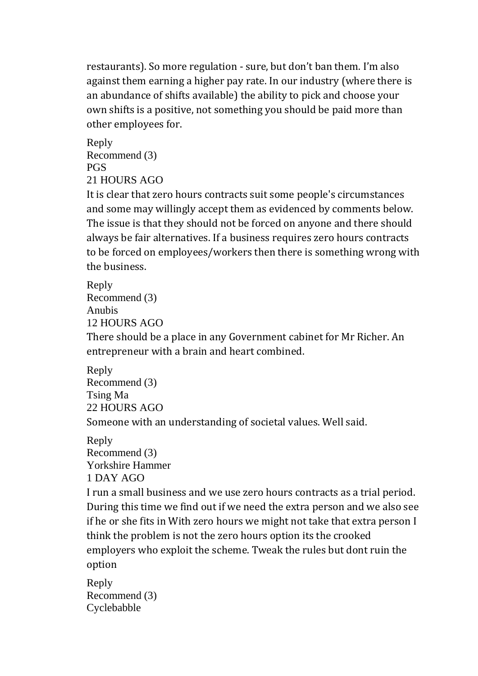restaurants). So more regulation - sure, but don't ban them. I'm also against them earning a higher pay rate. In our industry (where there is an abundance of shifts available) the ability to pick and choose your own shifts is a positive, not something you should be paid more than other employees for.

Reply Recommend (3) PGS 21 HOURS AGO

It is clear that zero hours contracts suit some people's circumstances and some may willingly accept them as evidenced by comments below. The issue is that they should not be forced on anyone and there should always be fair alternatives. If a business requires zero hours contracts to be forced on employees/workers then there is something wrong with the business.

Reply Recommend (3) Anubis 12 HOURS AGO

There should be a place in any Government cabinet for Mr Richer. An entrepreneur with a brain and heart combined.

```
Reply
Recommend (3)
Tsing Ma
22 HOURS AGO
Someone with an understanding of societal values. Well said.
```
Reply Recommend (3) Yorkshire Hammer 1 DAY AGO I run a small business and we use zero hours contracts as a trial period. During this time we find out if we need the extra person and we also see if he or she fits in With zero hours we might not take that extra person I think the problem is not the zero hours option its the crooked employers who exploit the scheme. Tweak the rules but dont ruin the option

Reply Recommend (3) Cyclebabble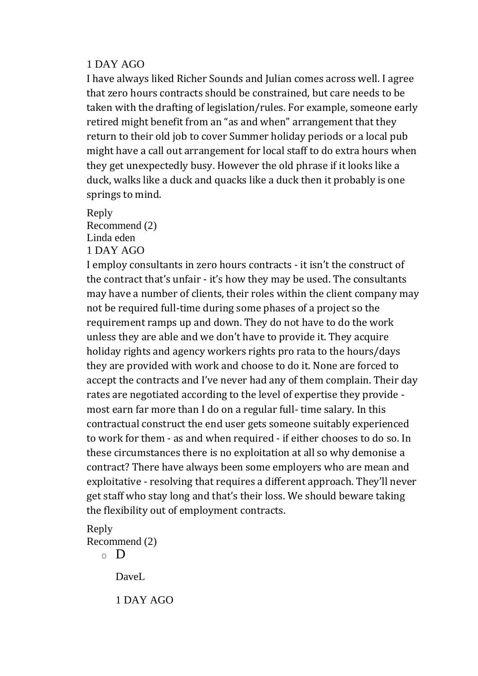#### 1 DAY AGO

I have always liked Richer Sounds and Julian comes across well. I agree that zero hours contracts should be constrained, but care needs to be taken with the drafting of legislation/rules. For example, someone early retired might benefit from an "as and when" arrangement that they return to their old job to cover Summer holiday periods or a local pub might have a call out arrangement for local staff to do extra hours when they get unexpectedly busy. However the old phrase if it looks like a duck, walks like a duck and quacks like a duck then it probably is one springs to mind.

Reply Recommend (2) Linda eden

1 DAY AGO

I employ consultants in zero hours contracts - it isn't the construct of the contract that's unfair - it's how they may be used. The consultants may have a number of clients, their roles within the client company may not be required full-time during some phases of a project so the requirement ramps up and down. They do not have to do the work unless they are able and we don't have to provide it. They acquire holiday rights and agency workers rights pro rata to the hours/days they are provided with work and choose to do it. None are forced to accept the contracts and I've never had any of them complain. Their day rates are negotiated according to the level of expertise they provide most earn far more than I do on a regular full- time salary. In this contractual construct the end user gets someone suitably experienced to work for them - as and when required - if either chooses to do so. In these circumstances there is no exploitation at all so why demonise a contract? There have always been some employers who are mean and exploitative - resolving that requires a different approach. They'll never get staff who stay long and that's their loss. We should beware taking the flexibility out of employment contracts.

Reply Recommend (2)

 $\circ$  D

DaveL

1 DAY AGO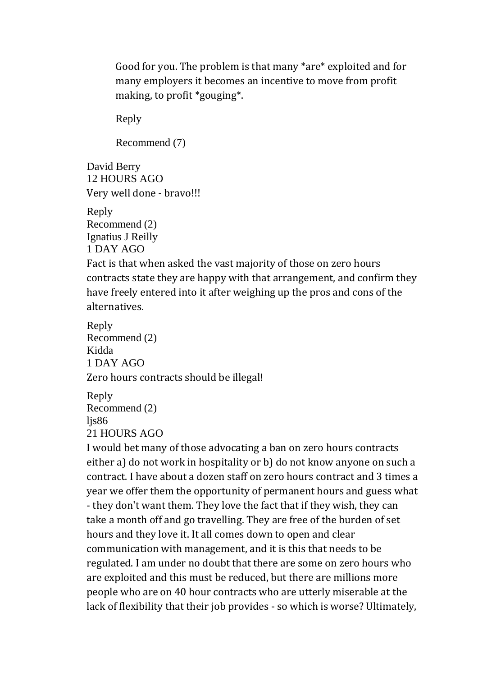Good for you. The problem is that many \*are\* exploited and for many employers it becomes an incentive to move from profit making, to profit \*gouging\*.

Reply

Recommend (7)

David Berry 12 HOURS AGO Very well done - bravo!!!

Reply Recommend (2) Ignatius J Reilly 1 DAY AGO

Fact is that when asked the vast majority of those on zero hours contracts state they are happy with that arrangement, and confirm they have freely entered into it after weighing up the pros and cons of the alternatives.

Reply Recommend (2) Kidda 1 DAY AGO Zero hours contracts should be illegal!

```
Reply
Recommend (2)
lis86
21 HOURS AGO
```
I would bet many of those advocating a ban on zero hours contracts either a) do not work in hospitality or b) do not know anyone on such a contract. I have about a dozen staff on zero hours contract and 3 times a year we offer them the opportunity of permanent hours and guess what - they don't want them. They love the fact that if they wish, they can take a month off and go travelling. They are free of the burden of set hours and they love it. It all comes down to open and clear communication with management, and it is this that needs to be regulated. I am under no doubt that there are some on zero hours who are exploited and this must be reduced, but there are millions more people who are on 40 hour contracts who are utterly miserable at the lack of flexibility that their job provides - so which is worse? Ultimately,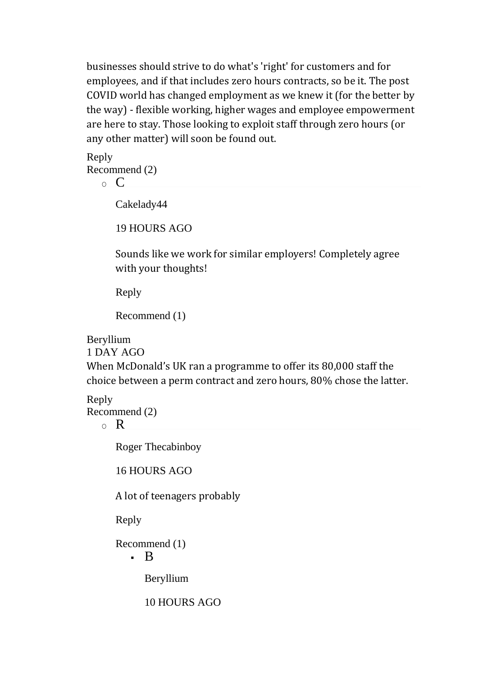businesses should strive to do what's 'right' for customers and for employees, and if that includes zero hours contracts, so be it. The post COVID world has changed employment as we knew it (for the better by the way) - flexible working, higher wages and employee empowerment are here to stay. Those looking to exploit staff through zero hours (or any other matter) will soon be found out.

Reply Recommend (2)

 $\circ$  C

Cakelady44

19 HOURS AGO

Sounds like we work for similar employers! Completely agree with your thoughts!

Reply

Recommend (1)

Beryllium

1 DAY AGO

When McDonald's UK ran a programme to offer its 80,000 staff the choice between a perm contract and zero hours, 80% chose the latter.

Reply

Recommend (2)

 $\circ$  R

Roger Thecabinboy

16 HOURS AGO

A lot of teenagers probably

Reply

Recommend (1)

▪ B

Beryllium

10 HOURS AGO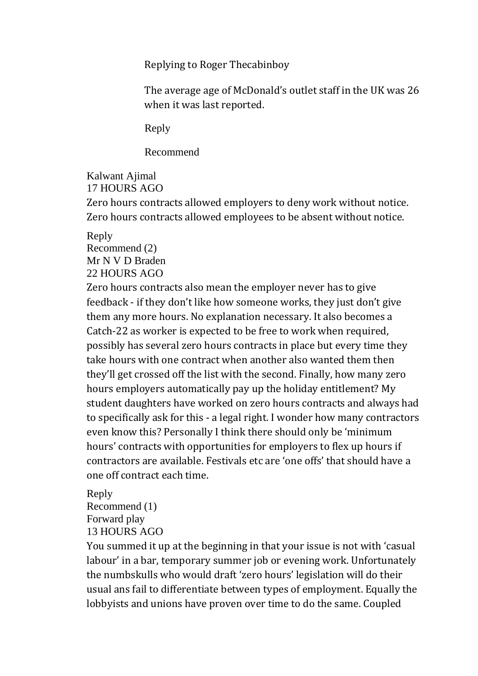Replying to Roger Thecabinboy

The average age of McDonald's outlet staff in the UK was 26 when it was last reported.

Reply

Recommend

Kalwant Ajimal 17 HOURS AGO

Zero hours contracts allowed employers to deny work without notice. Zero hours contracts allowed employees to be absent without notice.

Reply Recommend (2) Mr N V D Braden 22 HOURS AGO

Zero hours contracts also mean the employer never has to give feedback - if they don't like how someone works, they just don't give them any more hours. No explanation necessary. It also becomes a Catch-22 as worker is expected to be free to work when required, possibly has several zero hours contracts in place but every time they take hours with one contract when another also wanted them then they'll get crossed off the list with the second. Finally, how many zero hours employers automatically pay up the holiday entitlement? My student daughters have worked on zero hours contracts and always had to specifically ask for this - a legal right. I wonder how many contractors even know this? Personally I think there should only be 'minimum hours' contracts with opportunities for employers to flex up hours if contractors are available. Festivals etc are 'one offs' that should have a one off contract each time.

Reply Recommend (1) Forward play 13 HOURS AGO

You summed it up at the beginning in that your issue is not with 'casual labour' in a bar, temporary summer job or evening work. Unfortunately the numbskulls who would draft 'zero hours' legislation will do their usual ans fail to differentiate between types of employment. Equally the lobbyists and unions have proven over time to do the same. Coupled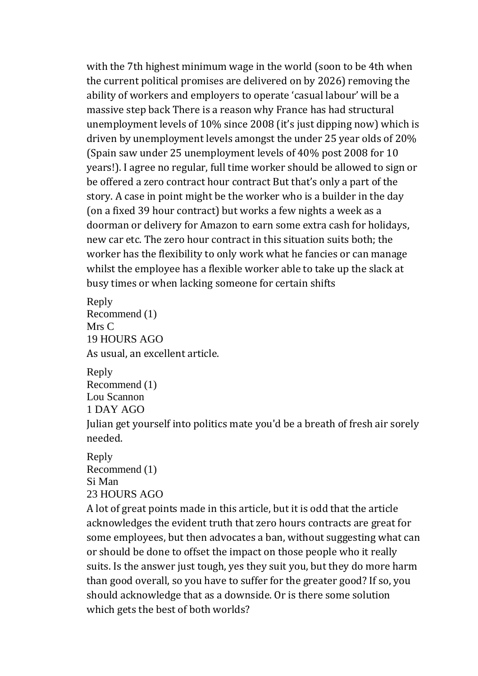with the 7th highest minimum wage in the world (soon to be 4th when the current political promises are delivered on by 2026) removing the ability of workers and employers to operate 'casual labour' will be a massive step back There is a reason why France has had structural unemployment levels of 10% since 2008 (it's just dipping now) which is driven by unemployment levels amongst the under 25 year olds of 20% (Spain saw under 25 unemployment levels of 40% post 2008 for 10 years!). I agree no regular, full time worker should be allowed to sign or be offered a zero contract hour contract But that's only a part of the story. A case in point might be the worker who is a builder in the day (on a fixed 39 hour contract) but works a few nights a week as a doorman or delivery for Amazon to earn some extra cash for holidays, new car etc. The zero hour contract in this situation suits both; the worker has the flexibility to only work what he fancies or can manage whilst the employee has a flexible worker able to take up the slack at busy times or when lacking someone for certain shifts

Reply Recommend (1) Mrs C 19 HOURS AGO As usual, an excellent article.

Reply Recommend (1) Lou Scannon 1 DAY AGO Julian get yourself into politics mate you'd be a breath of fresh air sorely needed.

Reply Recommend (1) Si Man 23 HOURS AGO

A lot of great points made in this article, but it is odd that the article acknowledges the evident truth that zero hours contracts are great for some employees, but then advocates a ban, without suggesting what can or should be done to offset the impact on those people who it really suits. Is the answer just tough, yes they suit you, but they do more harm than good overall, so you have to suffer for the greater good? If so, you should acknowledge that as a downside. Or is there some solution which gets the best of both worlds?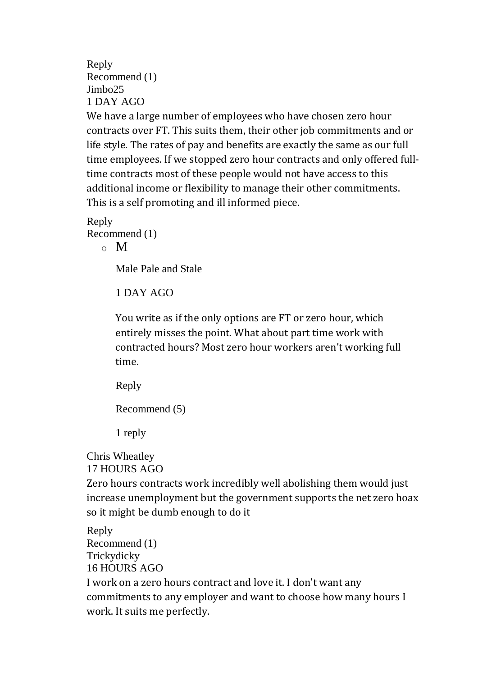Reply Recommend (1) Jimbo25 1 DAY AGO

We have a large number of employees who have chosen zero hour contracts over FT. This suits them, their other job commitments and or life style. The rates of pay and benefits are exactly the same as our full time employees. If we stopped zero hour contracts and only offered fulltime contracts most of these people would not have access to this additional income or flexibility to manage their other commitments. This is a self promoting and ill informed piece.

Reply Recommend (1)  $\circ$  M

Male Pale and Stale

1 DAY AGO

You write as if the only options are FT or zero hour, which entirely misses the point. What about part time work with contracted hours? Most zero hour workers aren't working full time.

Reply

Recommend (5)

1 reply

Chris Wheatley 17 HOURS AGO

Zero hours contracts work incredibly well abolishing them would just increase unemployment but the government supports the net zero hoax so it might be dumb enough to do it

Reply Recommend (1) Trickydicky 16 HOURS AGO I work on a zero hours contract and love it. I don't want any commitments to any employer and want to choose how many hours I work. It suits me perfectly.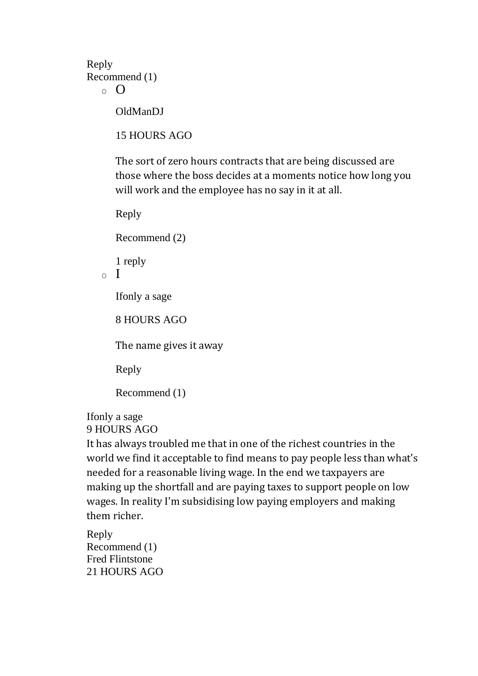Reply Recommend (1)

```
\Omega
```
OldManDJ

15 HOURS AGO

The sort of zero hours contracts that are being discussed are those where the boss decides at a moments notice how long you will work and the employee has no say in it at all.

Reply

Recommend (2)

1 reply

 $\circ$  I

Ifonly a sage

8 HOURS AGO

The name gives it away

Reply

Recommend (1)

Ifonly a sage 9 HOURS AGO

It has always troubled me that in one of the richest countries in the world we find it acceptable to find means to pay people less than what's needed for a reasonable living wage. In the end we taxpayers are making up the shortfall and are paying taxes to support people on low wages. In reality I'm subsidising low paying employers and making them richer.

Reply Recommend (1) Fred Flintstone 21 HOURS AGO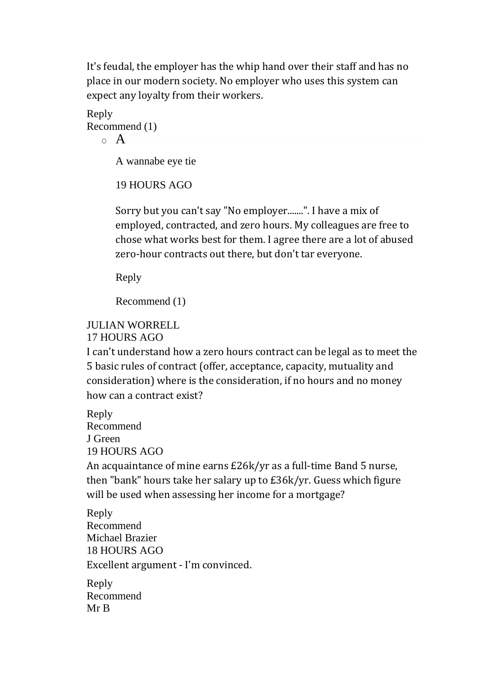It's feudal, the employer has the whip hand over their staff and has no place in our modern society. No employer who uses this system can expect any loyalty from their workers.

Reply Recommend (1)  $\circ$  A

A wannabe eye tie

19 HOURS AGO

Sorry but you can't say "No employer.......". I have a mix of employed, contracted, and zero hours. My colleagues are free to chose what works best for them. I agree there are a lot of abused zero-hour contracts out there, but don't tar everyone.

Reply

Recommend (1)

#### JULIAN WORRELL

17 HOURS AGO

I can't understand how a zero hours contract can be legal as to meet the 5 basic rules of contract (offer, acceptance, capacity, mutuality and consideration) where is the consideration, if no hours and no money how can a contract exist?

Reply Recommend J Green 19 HOURS AGO

An acquaintance of mine earns £26k/yr as a full-time Band 5 nurse, then "bank" hours take her salary up to £36k/yr. Guess which figure will be used when assessing her income for a mortgage?

Reply Recommend Michael Brazier 18 HOURS AGO Excellent argument - I'm convinced.

Reply Recommend Mr B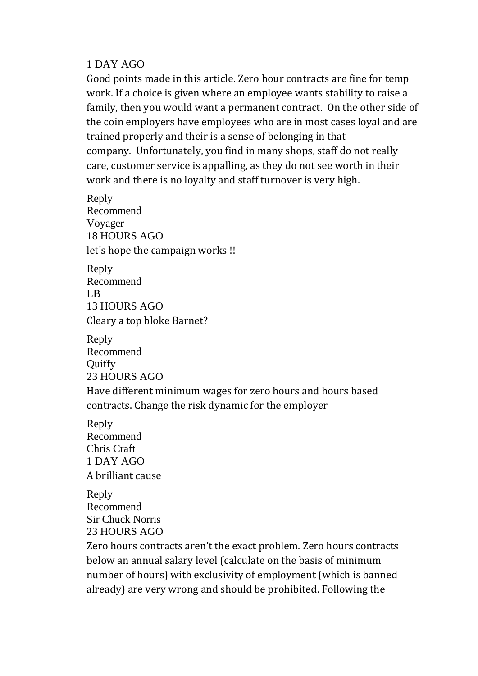#### 1 DAY AGO

Good points made in this article. Zero hour contracts are fine for temp work. If a choice is given where an employee wants stability to raise a family, then you would want a permanent contract. On the other side of the coin employers have employees who are in most cases loyal and are trained properly and their is a sense of belonging in that company. Unfortunately, you find in many shops, staff do not really care, customer service is appalling, as they do not see worth in their work and there is no loyalty and staff turnover is very high.

Reply Recommend Voyager 18 HOURS AGO let's hope the campaign works !!

Reply Recommend LB 13 HOURS AGO Cleary a top bloke Barnet?

Reply Recommend **Ouiffy** 23 HOURS AGO

Have different minimum wages for zero hours and hours based contracts. Change the risk dynamic for the employer

Reply Recommend Chris Craft 1 DAY AGO A brilliant cause

Reply Recommend Sir Chuck Norris 23 HOURS AGO

Zero hours contracts aren't the exact problem. Zero hours contracts below an annual salary level (calculate on the basis of minimum number of hours) with exclusivity of employment (which is banned already) are very wrong and should be prohibited. Following the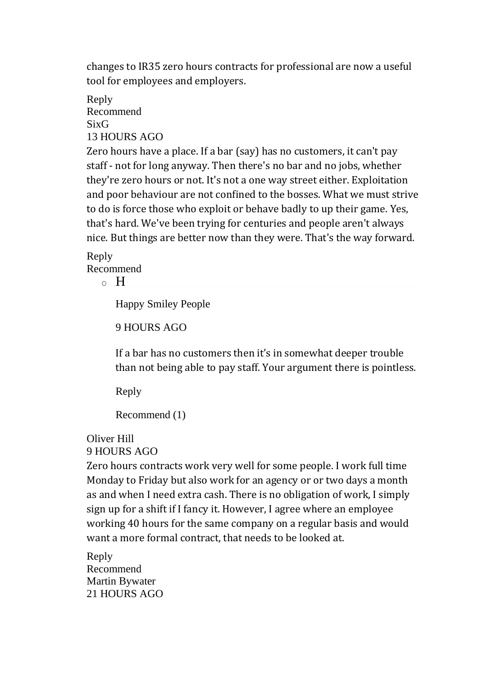changes to IR35 zero hours contracts for professional are now a useful tool for employees and employers.

Reply Recommend SixG 13 HOURS AGO

Zero hours have a place. If a bar (say) has no customers, it can't pay staff - not for long anyway. Then there's no bar and no jobs, whether they're zero hours or not. It's not a one way street either. Exploitation and poor behaviour are not confined to the bosses. What we must strive to do is force those who exploit or behave badly to up their game. Yes, that's hard. We've been trying for centuries and people aren't always nice. But things are better now than they were. That's the way forward.

# Reply Recommend

 $\circ$  H

Happy Smiley People

9 HOURS AGO

If a bar has no customers then it's in somewhat deeper trouble than not being able to pay staff. Your argument there is pointless.

Reply

```
Recommend (1)
```
# Oliver Hill

9 HOURS AGO

Zero hours contracts work very well for some people. I work full time Monday to Friday but also work for an agency or or two days a month as and when I need extra cash. There is no obligation of work, I simply sign up for a shift if I fancy it. However, I agree where an employee working 40 hours for the same company on a regular basis and would want a more formal contract, that needs to be looked at.

Reply Recommend Martin Bywater 21 HOURS AGO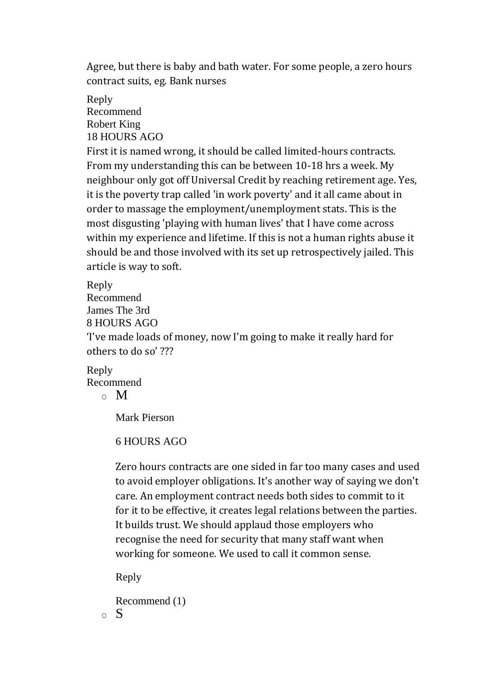Agree, but there is baby and bath water. For some people, a zero hours contract suits, eg. Bank nurses

Reply Recommend Robert King 18 HOURS AGO

First it is named wrong, it should be called limited-hours contracts. From my understanding this can be between 10-18 hrs a week. My neighbour only got off Universal Credit by reaching retirement age. Yes, it is the poverty trap called 'in work poverty' and it all came about in order to massage the employment/unemployment stats. This is the most disgusting 'playing with human lives' that I have come across within my experience and lifetime. If this is not a human rights abuse it should be and those involved with its set up retrospectively jailed. This article is way to soft.

Reply

Recommend James The 3rd

8 HOURS AGO

'I've made loads of money, now I'm going to make it really hard for others to do so' ???

Reply Recommend

 $\circ$  M

Mark Pierson

6 HOURS AGO

Zero hours contracts are one sided in far too many cases and used to avoid employer obligations. It's another way of saying we don't care. An employment contract needs both sides to commit to it for it to be effective, it creates legal relations between the parties. It builds trust. We should applaud those employers who recognise the need for security that many staff want when working for someone. We used to call it common sense.

Reply

Recommend (1)  $\circ$  S